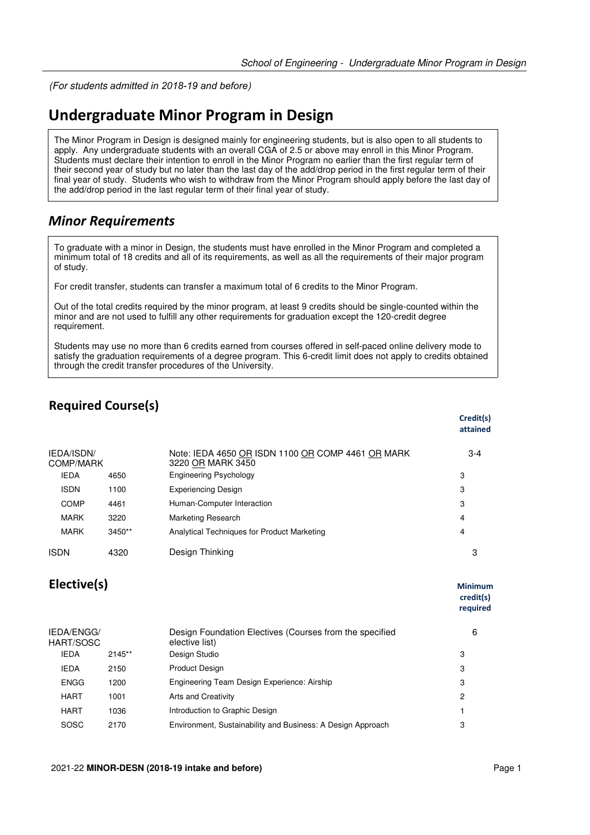(For students *admitted in 2018-19 and before*)

# **Undergraduate Minor Program in Design**

The Minor Program in Design is designed mainly for engineering students, but is also open to all students to apply. Any undergraduate students with an overall CGA of 2.5 or above may enroll in this Minor Program. Students must declare their intention to enroll in the Minor Program no earlier than the first regular term of their second year of study but no later than the last day of the add/drop period in the first regular term of their final year of study. Students who wish to withdraw from the Minor Program should apply before the last day of the add/drop period in the last regular term of their final year of study.

## *Minor Requirements*

To graduate with a minor in Design, the students must have enrolled in the Minor Program and completed a minimum total of 18 credits and all of its requirements, as well as all the requirements of their major program of study.

For credit transfer, students can transfer a maximum total of 6 credits to the Minor Program.

Out of the total credits required by the minor program, at least 9 credits should be single-counted within the minor and are not used to fulfill any other requirements for graduation except the 120-credit degree requirement.

Students may use no more than 6 credits earned from courses offered in self-paced online delivery mode to satisfy the graduation requirements of a degree program. This 6-credit limit does not apply to credits obtained through the credit transfer procedures of the University.

## **Required Course(s)**

|                                |          |                                                                        | credit(s)<br>attained |
|--------------------------------|----------|------------------------------------------------------------------------|-----------------------|
| <b>IEDA/ISDN/</b><br>COMP/MARK |          | Note: IEDA 4650 OR ISDN 1100 OR COMP 4461 OR MARK<br>3220 OR MARK 3450 | $3 - 4$               |
| <b>IEDA</b>                    | 4650     | <b>Engineering Psychology</b>                                          | 3                     |
| <b>ISDN</b>                    | 1100     | <b>Experiencing Design</b>                                             | 3                     |
| COMP                           | 4461     | Human-Computer Interaction                                             | 3                     |
| MARK                           | 3220     | <b>Marketing Research</b>                                              | 4                     |
| MARK                           | $3450**$ | Analytical Techniques for Product Marketing                            | 4                     |
| <b>ISDN</b>                    | 4320     | Design Thinking                                                        | 3                     |
|                                |          |                                                                        |                       |

### **Elective(s)** Minimum

**credit(s) required**

**Credit(s)**

| IEDA/ENGG/<br>HART/SOSC |          | Design Foundation Electives (Courses from the specified<br>elective list) | 6 |
|-------------------------|----------|---------------------------------------------------------------------------|---|
| <b>IEDA</b>             | $2145**$ | Design Studio                                                             | 3 |
| <b>IEDA</b>             | 2150     | <b>Product Design</b>                                                     | 3 |
| <b>ENGG</b>             | 1200     | Engineering Team Design Experience: Airship                               | 3 |
| HART                    | 1001     | Arts and Creativity                                                       | 2 |
| <b>HART</b>             | 1036     | Introduction to Graphic Design                                            |   |
| <b>SOSC</b>             | 2170     | Environment, Sustainability and Business: A Design Approach               | 3 |
|                         |          |                                                                           |   |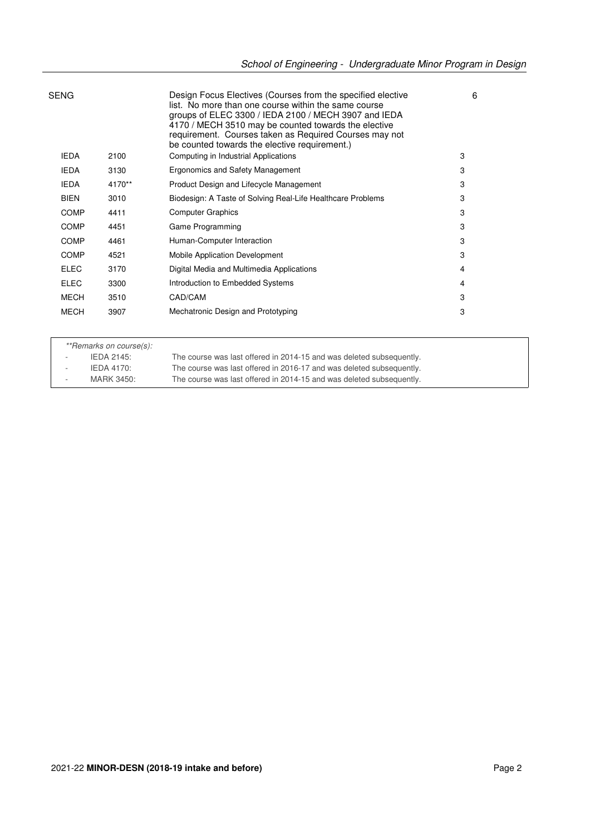| SENG        |        | Design Focus Electives (Courses from the specified elective<br>list. No more than one course within the same course<br>groups of ELEC 3300 / IEDA 2100 / MECH 3907 and IEDA<br>4170 / MECH 3510 may be counted towards the elective<br>requirement. Courses taken as Required Courses may not<br>be counted towards the elective requirement.) | 6 |
|-------------|--------|------------------------------------------------------------------------------------------------------------------------------------------------------------------------------------------------------------------------------------------------------------------------------------------------------------------------------------------------|---|
| <b>IEDA</b> | 2100   | Computing in Industrial Applications                                                                                                                                                                                                                                                                                                           | 3 |
| <b>IEDA</b> | 3130   | Ergonomics and Safety Management                                                                                                                                                                                                                                                                                                               | 3 |
| <b>IEDA</b> | 4170** | Product Design and Lifecycle Management                                                                                                                                                                                                                                                                                                        | 3 |
| <b>BIEN</b> | 3010   | Biodesign: A Taste of Solving Real-Life Healthcare Problems                                                                                                                                                                                                                                                                                    | 3 |
| <b>COMP</b> | 4411   | <b>Computer Graphics</b>                                                                                                                                                                                                                                                                                                                       | 3 |
| <b>COMP</b> | 4451   | Game Programming                                                                                                                                                                                                                                                                                                                               | 3 |
| <b>COMP</b> | 4461   | Human-Computer Interaction                                                                                                                                                                                                                                                                                                                     | 3 |
| <b>COMP</b> | 4521   | Mobile Application Development                                                                                                                                                                                                                                                                                                                 | 3 |
| <b>ELEC</b> | 3170   | Digital Media and Multimedia Applications                                                                                                                                                                                                                                                                                                      | 4 |
| <b>ELEC</b> | 3300   | Introduction to Embedded Systems                                                                                                                                                                                                                                                                                                               | 4 |
| <b>MECH</b> | 3510   | CAD/CAM                                                                                                                                                                                                                                                                                                                                        | 3 |
| <b>MECH</b> | 3907   | Mechatronic Design and Prototyping                                                                                                                                                                                                                                                                                                             | 3 |
|             |        |                                                                                                                                                                                                                                                                                                                                                |   |

\*\*Remarks on course(s):

- IEDA 2145: The course was last offered in 2014-15 and was deleted subsequently. - IEDA 4170: The course was last offered in 2016-17 and was deleted subsequently. - MARK 3450: The course was last offered in 2014-15 and was deleted subsequently.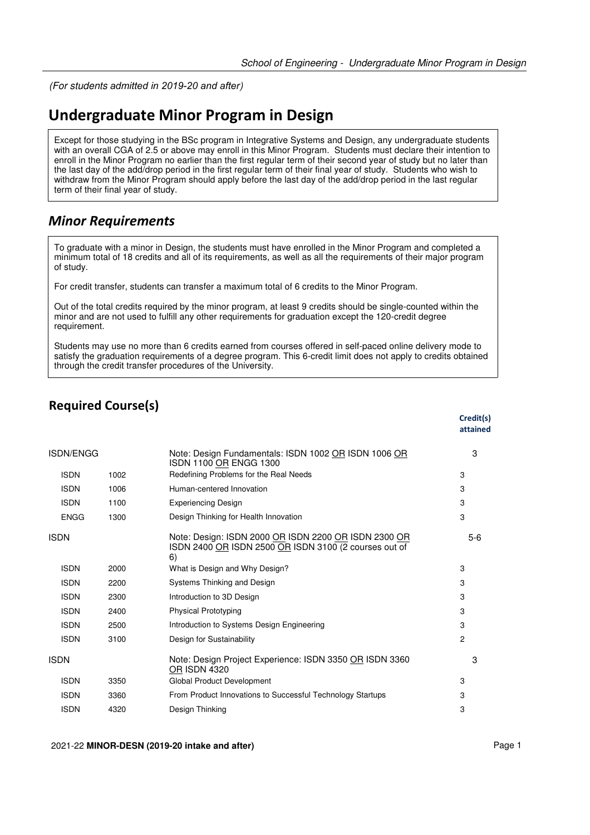(For students *admitted in 2019-20 and after*)

# **Undergraduate Minor Program in Design**

Except for those studying in the BSc program in Integrative Systems and Design, any undergraduate students with an overall CGA of 2.5 or above may enroll in this Minor Program. Students must declare their intention to enroll in the Minor Program no earlier than the first regular term of their second year of study but no later than the last day of the add/drop period in the first regular term of their final year of study. Students who wish to withdraw from the Minor Program should apply before the last day of the add/drop period in the last regular term of their final year of study.

### *Minor Requirements*

To graduate with a minor in Design, the students must have enrolled in the Minor Program and completed a minimum total of 18 credits and all of its requirements, as well as all the requirements of their major program of study.

For credit transfer, students can transfer a maximum total of 6 credits to the Minor Program.

Out of the total credits required by the minor program, at least 9 credits should be single-counted within the minor and are not used to fulfill any other requirements for graduation except the 120-credit degree requirement.

Students may use no more than 6 credits earned from courses offered in self-paced online delivery mode to satisfy the graduation requirements of a degree program. This 6-credit limit does not apply to credits obtained through the credit transfer procedures of the University.

## **Required Course(s)**

|             |      |                                                                                                                     | Credit(s)<br>attained |
|-------------|------|---------------------------------------------------------------------------------------------------------------------|-----------------------|
| ISDN/ENGG   |      | Note: Design Fundamentals: ISDN 1002 OR ISDN 1006 OR<br>ISDN 1100 OR ENGG 1300                                      | 3                     |
| <b>ISDN</b> | 1002 | Redefining Problems for the Real Needs                                                                              | 3                     |
| <b>ISDN</b> | 1006 | Human-centered Innovation                                                                                           | 3                     |
| <b>ISDN</b> | 1100 | <b>Experiencing Design</b>                                                                                          | 3                     |
| <b>ENGG</b> | 1300 | Design Thinking for Health Innovation                                                                               | 3                     |
| <b>ISDN</b> |      | Note: Design: ISDN 2000 OR ISDN 2200 OR ISDN 2300 OR<br>ISDN 2400 OR ISDN 2500 OR ISDN 3100 (2 courses out of<br>6) | $5-6$                 |
| <b>ISDN</b> | 2000 | What is Design and Why Design?                                                                                      | 3                     |
| <b>ISDN</b> | 2200 | Systems Thinking and Design                                                                                         | 3                     |
| <b>ISDN</b> | 2300 | Introduction to 3D Design                                                                                           | 3                     |
| <b>ISDN</b> | 2400 | <b>Physical Prototyping</b>                                                                                         | 3                     |
| <b>ISDN</b> | 2500 | Introduction to Systems Design Engineering                                                                          | 3                     |
| <b>ISDN</b> | 3100 | Design for Sustainability                                                                                           | 2                     |
| <b>ISDN</b> |      | Note: Design Project Experience: ISDN 3350 OR ISDN 3360<br><b>OR ISDN 4320</b>                                      | 3                     |
| <b>ISDN</b> | 3350 | Global Product Development                                                                                          | 3                     |
| <b>ISDN</b> | 3360 | From Product Innovations to Successful Technology Startups                                                          | 3                     |
| <b>ISDN</b> | 4320 | Design Thinking                                                                                                     | 3                     |

#### 2021-22 **MINOR-DESN (2019-20 intake and after)** Page 1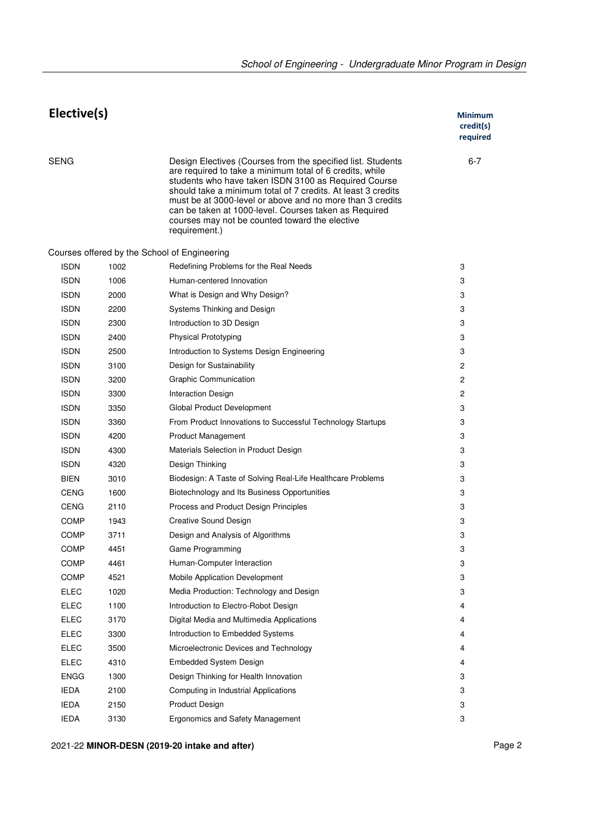| Elective(s) |      |                                                                                                                                                                                                                                                                                                                                                                                                                                          | Minimum<br>credit(s)<br>required |
|-------------|------|------------------------------------------------------------------------------------------------------------------------------------------------------------------------------------------------------------------------------------------------------------------------------------------------------------------------------------------------------------------------------------------------------------------------------------------|----------------------------------|
| <b>SENG</b> |      | Design Electives (Courses from the specified list. Students<br>are required to take a minimum total of 6 credits, while<br>students who have taken ISDN 3100 as Required Course<br>should take a minimum total of 7 credits. At least 3 credits<br>must be at 3000-level or above and no more than 3 credits<br>can be taken at 1000-level. Courses taken as Required<br>courses may not be counted toward the elective<br>requirement.) | $6 - 7$                          |
|             |      | Courses offered by the School of Engineering                                                                                                                                                                                                                                                                                                                                                                                             |                                  |
| <b>ISDN</b> | 1002 | Redefining Problems for the Real Needs                                                                                                                                                                                                                                                                                                                                                                                                   | 3                                |
| <b>ISDN</b> | 1006 | Human-centered Innovation                                                                                                                                                                                                                                                                                                                                                                                                                | 3                                |
| <b>ISDN</b> | 2000 | What is Design and Why Design?                                                                                                                                                                                                                                                                                                                                                                                                           | 3                                |
| <b>ISDN</b> | 2200 | Systems Thinking and Design                                                                                                                                                                                                                                                                                                                                                                                                              | 3                                |
| <b>ISDN</b> | 2300 | Introduction to 3D Design                                                                                                                                                                                                                                                                                                                                                                                                                | 3                                |
| <b>ISDN</b> | 2400 | <b>Physical Prototyping</b>                                                                                                                                                                                                                                                                                                                                                                                                              | 3                                |
| <b>ISDN</b> | 2500 | Introduction to Systems Design Engineering                                                                                                                                                                                                                                                                                                                                                                                               | 3                                |
| <b>ISDN</b> | 3100 | Design for Sustainability                                                                                                                                                                                                                                                                                                                                                                                                                | $\overline{c}$                   |
| <b>ISDN</b> | 3200 | <b>Graphic Communication</b>                                                                                                                                                                                                                                                                                                                                                                                                             | 2                                |
| <b>ISDN</b> | 3300 | Interaction Design                                                                                                                                                                                                                                                                                                                                                                                                                       | 2                                |
| <b>ISDN</b> | 3350 | Global Product Development                                                                                                                                                                                                                                                                                                                                                                                                               | 3                                |
| <b>ISDN</b> | 3360 | From Product Innovations to Successful Technology Startups                                                                                                                                                                                                                                                                                                                                                                               | 3                                |
| <b>ISDN</b> | 4200 | Product Management                                                                                                                                                                                                                                                                                                                                                                                                                       | 3                                |
| <b>ISDN</b> | 4300 | Materials Selection in Product Design                                                                                                                                                                                                                                                                                                                                                                                                    | 3                                |
| <b>ISDN</b> | 4320 | Design Thinking                                                                                                                                                                                                                                                                                                                                                                                                                          | 3                                |
| <b>BIEN</b> | 3010 | Biodesign: A Taste of Solving Real-Life Healthcare Problems                                                                                                                                                                                                                                                                                                                                                                              | 3                                |
| CENG        | 1600 | Biotechnology and Its Business Opportunities                                                                                                                                                                                                                                                                                                                                                                                             | 3                                |
| <b>CENG</b> | 2110 | Process and Product Design Principles                                                                                                                                                                                                                                                                                                                                                                                                    | 3                                |
| COMP        | 1943 | <b>Creative Sound Design</b>                                                                                                                                                                                                                                                                                                                                                                                                             | 3                                |
| <b>COMP</b> | 3711 | Design and Analysis of Algorithms                                                                                                                                                                                                                                                                                                                                                                                                        | 3                                |
| COMP        | 4451 | Game Programming                                                                                                                                                                                                                                                                                                                                                                                                                         | 3                                |
| COMP        | 4461 | Human-Computer Interaction                                                                                                                                                                                                                                                                                                                                                                                                               | 3                                |
| <b>COMP</b> | 4521 | Mobile Application Development                                                                                                                                                                                                                                                                                                                                                                                                           | 3                                |
| <b>ELEC</b> | 1020 | Media Production: Technology and Design                                                                                                                                                                                                                                                                                                                                                                                                  | 3                                |
| <b>ELEC</b> | 1100 | Introduction to Electro-Robot Design                                                                                                                                                                                                                                                                                                                                                                                                     | 4                                |
| <b>ELEC</b> | 3170 | Digital Media and Multimedia Applications                                                                                                                                                                                                                                                                                                                                                                                                | 4                                |
| <b>ELEC</b> | 3300 | Introduction to Embedded Systems                                                                                                                                                                                                                                                                                                                                                                                                         | 4                                |
| <b>ELEC</b> | 3500 | Microelectronic Devices and Technology                                                                                                                                                                                                                                                                                                                                                                                                   | 4                                |
| <b>ELEC</b> | 4310 | <b>Embedded System Design</b>                                                                                                                                                                                                                                                                                                                                                                                                            | 4                                |
| <b>ENGG</b> | 1300 | Design Thinking for Health Innovation                                                                                                                                                                                                                                                                                                                                                                                                    | 3                                |
| <b>IEDA</b> | 2100 | Computing in Industrial Applications                                                                                                                                                                                                                                                                                                                                                                                                     | 3                                |
| <b>IEDA</b> | 2150 | Product Design                                                                                                                                                                                                                                                                                                                                                                                                                           | 3                                |
| <b>IEDA</b> | 3130 | Ergonomics and Safety Management                                                                                                                                                                                                                                                                                                                                                                                                         | 3                                |

2021-22 **MINOR-DESN (2019-20 intake and after)** Page 2